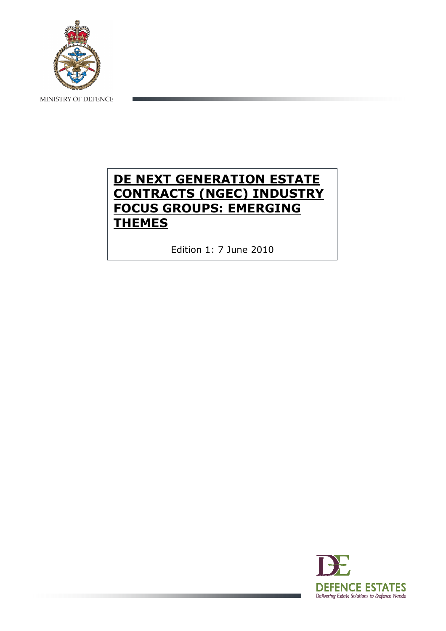

MINISTRY OF DEFENCE

# DE NEXT GENERATION ESTATE CONTRACTS (NGEC) INDUSTRY FOCUS GROUPS: EMERGING **THEMES**

Edition 1: 7 June 2010

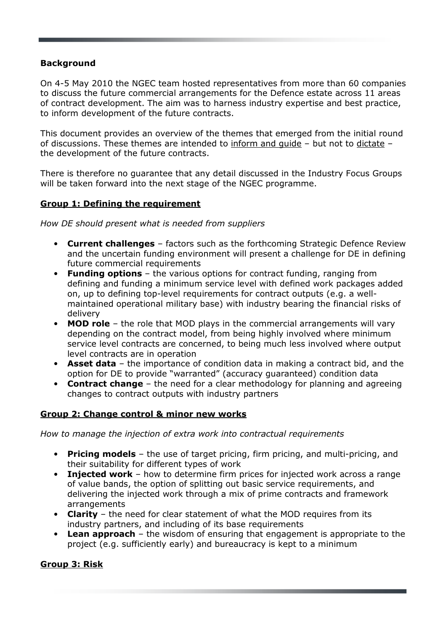#### Background

On 4-5 May 2010 the NGEC team hosted representatives from more than 60 companies to discuss the future commercial arrangements for the Defence estate across 11 areas of contract development. The aim was to harness industry expertise and best practice, to inform development of the future contracts.

This document provides an overview of the themes that emerged from the initial round of discussions. These themes are intended to inform and guide – but not to dictate – the development of the future contracts.

There is therefore no guarantee that any detail discussed in the Industry Focus Groups will be taken forward into the next stage of the NGEC programme.

#### Group 1: Defining the requirement

How DE should present what is needed from suppliers

- Current challenges factors such as the forthcoming Strategic Defence Review and the uncertain funding environment will present a challenge for DE in defining future commercial requirements
- Funding options the various options for contract funding, ranging from defining and funding a minimum service level with defined work packages added on, up to defining top-level requirements for contract outputs (e.g. a wellmaintained operational military base) with industry bearing the financial risks of delivery
- MOD role the role that MOD plays in the commercial arrangements will vary depending on the contract model, from being highly involved where minimum service level contracts are concerned, to being much less involved where output level contracts are in operation
- Asset data the importance of condition data in making a contract bid, and the option for DE to provide "warranted" (accuracy guaranteed) condition data
- Contract change the need for a clear methodology for planning and agreeing changes to contract outputs with industry partners

#### Group 2: Change control & minor new works

How to manage the injection of extra work into contractual requirements

- Pricing models the use of target pricing, firm pricing, and multi-pricing, and their suitability for different types of work
- Injected work how to determine firm prices for injected work across a range of value bands, the option of splitting out basic service requirements, and delivering the injected work through a mix of prime contracts and framework arrangements
- Clarity the need for clear statement of what the MOD requires from its industry partners, and including of its base requirements
- **Lean approach** the wisdom of ensuring that engagement is appropriate to the project (e.g. sufficiently early) and bureaucracy is kept to a minimum

#### Group 3: Risk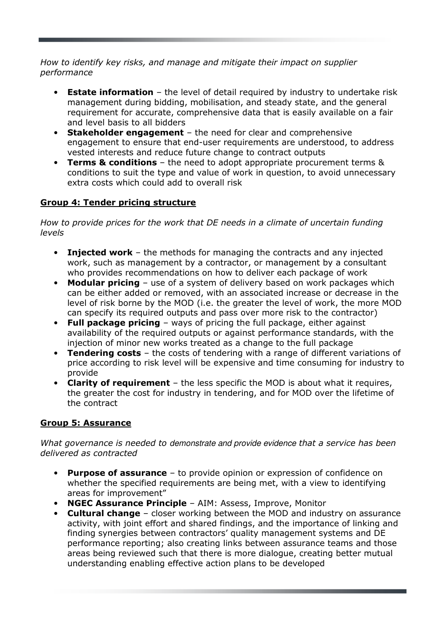#### How to identify key risks, and manage and mitigate their impact on supplier performance

- **Estate information** the level of detail required by industry to undertake risk management during bidding, mobilisation, and steady state, and the general requirement for accurate, comprehensive data that is easily available on a fair and level basis to all bidders
- Stakeholder engagement the need for clear and comprehensive engagement to ensure that end-user requirements are understood, to address vested interests and reduce future change to contract outputs
- **Terms & conditions** the need to adopt appropriate procurement terms  $\&$ conditions to suit the type and value of work in question, to avoid unnecessary extra costs which could add to overall risk

## Group 4: Tender pricing structure

How to provide prices for the work that DE needs in a climate of uncertain funding levels

- Injected work the methods for managing the contracts and any injected work, such as management by a contractor, or management by a consultant who provides recommendations on how to deliver each package of work
- Modular pricing use of a system of delivery based on work packages which can be either added or removed, with an associated increase or decrease in the level of risk borne by the MOD (i.e. the greater the level of work, the more MOD can specify its required outputs and pass over more risk to the contractor)
- Full package pricing ways of pricing the full package, either against availability of the required outputs or against performance standards, with the injection of minor new works treated as a change to the full package
- Tendering costs the costs of tendering with a range of different variations of price according to risk level will be expensive and time consuming for industry to provide
- Clarity of requirement the less specific the MOD is about what it requires, the greater the cost for industry in tendering, and for MOD over the lifetime of the contract

## Group 5: Assurance

What governance is needed to demonstrate and provide evidence that a service has been delivered as contracted

- **Purpose of assurance** to provide opinion or expression of confidence on whether the specified requirements are being met, with a view to identifying areas for improvement"
- NGEC Assurance Principle AIM: Assess, Improve, Monitor
- Cultural change closer working between the MOD and industry on assurance activity, with joint effort and shared findings, and the importance of linking and finding synergies between contractors' quality management systems and DE performance reporting; also creating links between assurance teams and those areas being reviewed such that there is more dialogue, creating better mutual understanding enabling effective action plans to be developed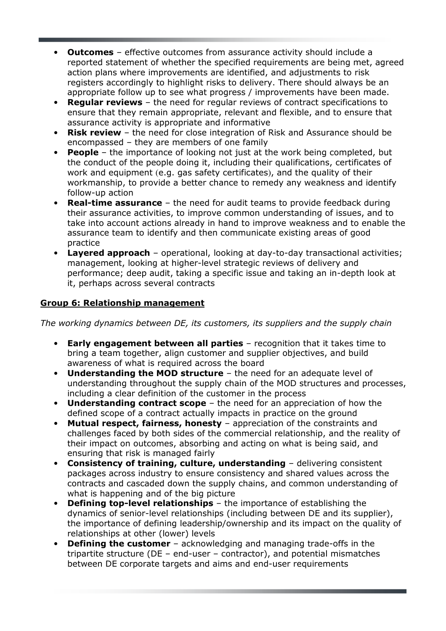- Outcomes effective outcomes from assurance activity should include a reported statement of whether the specified requirements are being met, agreed action plans where improvements are identified, and adjustments to risk registers accordingly to highlight risks to delivery. There should always be an appropriate follow up to see what progress / improvements have been made.
- **Regular reviews** the need for regular reviews of contract specifications to ensure that they remain appropriate, relevant and flexible, and to ensure that assurance activity is appropriate and informative
- **Risk review** the need for close integration of Risk and Assurance should be encompassed – they are members of one family
- **People** the importance of looking not just at the work being completed, but the conduct of the people doing it, including their qualifications, certificates of work and equipment (e.g. gas safety certificates), and the quality of their workmanship, to provide a better chance to remedy any weakness and identify follow-up action
- **Real-time assurance** the need for audit teams to provide feedback during their assurance activities, to improve common understanding of issues, and to take into account actions already in hand to improve weakness and to enable the assurance team to identify and then communicate existing areas of good practice
- **Layered approach** operational, looking at day-to-day transactional activities; management, looking at higher-level strategic reviews of delivery and performance; deep audit, taking a specific issue and taking an in-depth look at it, perhaps across several contracts

## Group 6: Relationship management

The working dynamics between DE, its customers, its suppliers and the supply chain

- Early engagement between all parties recognition that it takes time to bring a team together, align customer and supplier objectives, and build awareness of what is required across the board
- Understanding the MOD structure the need for an adequate level of understanding throughout the supply chain of the MOD structures and processes, including a clear definition of the customer in the process
- **Understanding contract scope**  $-$  the need for an appreciation of how the defined scope of a contract actually impacts in practice on the ground
- Mutual respect, fairness, honesty appreciation of the constraints and challenges faced by both sides of the commercial relationship, and the reality of their impact on outcomes, absorbing and acting on what is being said, and ensuring that risk is managed fairly
- Consistency of training, culture, understanding delivering consistent packages across industry to ensure consistency and shared values across the contracts and cascaded down the supply chains, and common understanding of what is happening and of the big picture
- **Defining top-level relationships** the importance of establishing the dynamics of senior-level relationships (including between DE and its supplier), the importance of defining leadership/ownership and its impact on the quality of relationships at other (lower) levels
- **Defining the customer** acknowledging and managing trade-offs in the tripartite structure (DE – end-user – contractor), and potential mismatches between DE corporate targets and aims and end-user requirements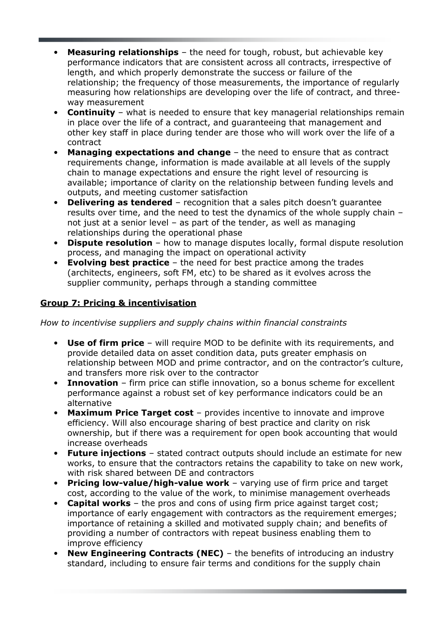- **Measuring relationships** the need for tough, robust, but achievable key performance indicators that are consistent across all contracts, irrespective of length, and which properly demonstrate the success or failure of the relationship; the frequency of those measurements, the importance of regularly measuring how relationships are developing over the life of contract, and threeway measurement
- **Continuity** what is needed to ensure that key managerial relationships remain in place over the life of a contract, and guaranteeing that management and other key staff in place during tender are those who will work over the life of a contract
- **Managing expectations and change**  $-$  the need to ensure that as contract requirements change, information is made available at all levels of the supply chain to manage expectations and ensure the right level of resourcing is available; importance of clarity on the relationship between funding levels and outputs, and meeting customer satisfaction
- **Delivering as tendered** recognition that a sales pitch doesn't quarantee results over time, and the need to test the dynamics of the whole supply chain – not just at a senior level – as part of the tender, as well as managing relationships during the operational phase
- **Dispute resolution** how to manage disputes locally, formal dispute resolution process, and managing the impact on operational activity
- **Evolving best practice** the need for best practice among the trades (architects, engineers, soft FM, etc) to be shared as it evolves across the supplier community, perhaps through a standing committee

## Group 7: Pricing & incentivisation

How to incentivise suppliers and supply chains within financial constraints

- Use of firm price will require MOD to be definite with its requirements, and provide detailed data on asset condition data, puts greater emphasis on relationship between MOD and prime contractor, and on the contractor's culture, and transfers more risk over to the contractor
- **Innovation** firm price can stifle innovation, so a bonus scheme for excellent performance against a robust set of key performance indicators could be an alternative
- Maximum Price Target cost provides incentive to innovate and improve efficiency. Will also encourage sharing of best practice and clarity on risk ownership, but if there was a requirement for open book accounting that would increase overheads
- **Future injections** stated contract outputs should include an estimate for new works, to ensure that the contractors retains the capability to take on new work, with risk shared between DE and contractors
- Pricing low-value/high-value work varying use of firm price and target cost, according to the value of the work, to minimise management overheads
- Capital works the pros and cons of using firm price against target cost; importance of early engagement with contractors as the requirement emerges; importance of retaining a skilled and motivated supply chain; and benefits of providing a number of contractors with repeat business enabling them to improve efficiency
- **New Engineering Contracts (NEC)** the benefits of introducing an industry standard, including to ensure fair terms and conditions for the supply chain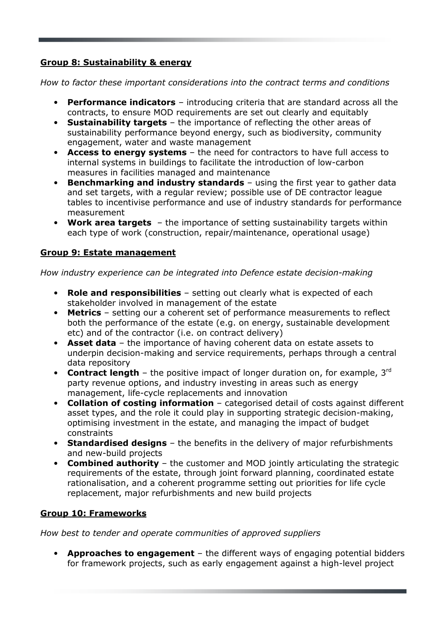## Group 8: Sustainability & energy

How to factor these important considerations into the contract terms and conditions

- Performance indicators introducing criteria that are standard across all the contracts, to ensure MOD requirements are set out clearly and equitably
- Sustainability targets the importance of reflecting the other areas of sustainability performance beyond energy, such as biodiversity, community engagement, water and waste management
- Access to energy systems the need for contractors to have full access to internal systems in buildings to facilitate the introduction of low-carbon measures in facilities managed and maintenance
- Benchmarking and industry standards using the first year to gather data and set targets, with a regular review; possible use of DE contractor league tables to incentivise performance and use of industry standards for performance measurement
- Work area targets the importance of setting sustainability targets within each type of work (construction, repair/maintenance, operational usage)

#### Group 9: Estate management

How industry experience can be integrated into Defence estate decision-making

- Role and responsibilities setting out clearly what is expected of each stakeholder involved in management of the estate
- **Metrics** setting our a coherent set of performance measurements to reflect both the performance of the estate (e.g. on energy, sustainable development etc) and of the contractor (i.e. on contract delivery)
- Asset data the importance of having coherent data on estate assets to underpin decision-making and service requirements, perhaps through a central data repository
- Contract length  $-$  the positive impact of longer duration on, for example,  $3^{rd}$ party revenue options, and industry investing in areas such as energy management, life-cycle replacements and innovation
- Collation of costing information categorised detail of costs against different asset types, and the role it could play in supporting strategic decision-making, optimising investment in the estate, and managing the impact of budget constraints
- Standardised designs the benefits in the delivery of major refurbishments and new-build projects
- Combined authority the customer and MOD jointly articulating the strategic requirements of the estate, through joint forward planning, coordinated estate rationalisation, and a coherent programme setting out priorities for life cycle replacement, major refurbishments and new build projects

## Group 10: Frameworks

How best to tender and operate communities of approved suppliers

• Approaches to engagement – the different ways of engaging potential bidders for framework projects, such as early engagement against a high-level project